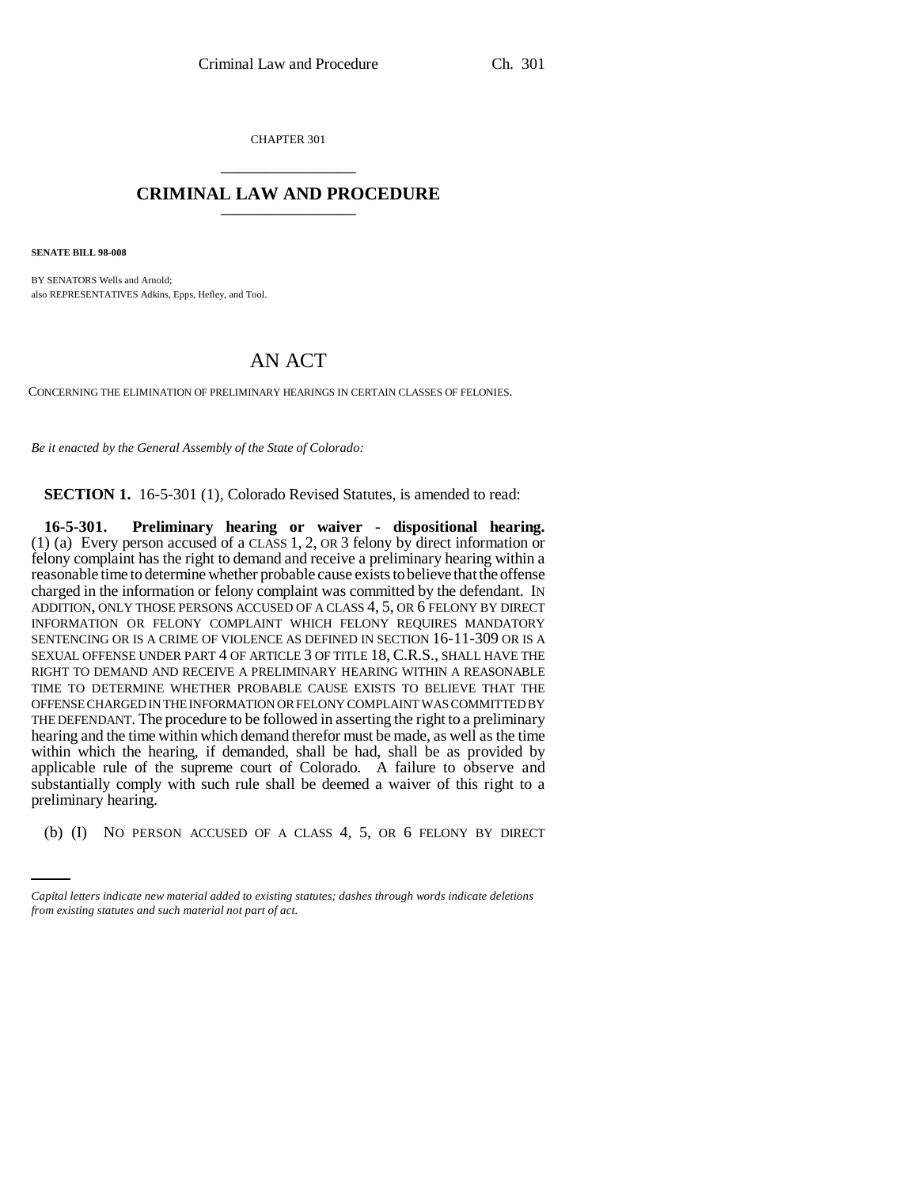CHAPTER 301 \_\_\_\_\_\_\_\_\_\_\_\_\_\_\_

## **CRIMINAL LAW AND PROCEDURE** \_\_\_\_\_\_\_\_\_\_\_\_\_\_\_

**SENATE BILL 98-008**

BY SENATORS Wells and Arnold; also REPRESENTATIVES Adkins, Epps, Hefley, and Tool.

## AN ACT

CONCERNING THE ELIMINATION OF PRELIMINARY HEARINGS IN CERTAIN CLASSES OF FELONIES.

*Be it enacted by the General Assembly of the State of Colorado:*

**SECTION 1.** 16-5-301 (1), Colorado Revised Statutes, is amended to read:

preliminary hearing. **16-5-301. Preliminary hearing or waiver - dispositional hearing.** (1) (a) Every person accused of a CLASS 1, 2, OR 3 felony by direct information or felony complaint has the right to demand and receive a preliminary hearing within a reasonable time to determine whether probable cause exists to believe that the offense charged in the information or felony complaint was committed by the defendant. IN ADDITION, ONLY THOSE PERSONS ACCUSED OF A CLASS 4, 5, OR 6 FELONY BY DIRECT INFORMATION OR FELONY COMPLAINT WHICH FELONY REQUIRES MANDATORY SENTENCING OR IS A CRIME OF VIOLENCE AS DEFINED IN SECTION 16-11-309 OR IS A SEXUAL OFFENSE UNDER PART 4 OF ARTICLE 3 OF TITLE 18, C.R.S., SHALL HAVE THE RIGHT TO DEMAND AND RECEIVE A PRELIMINARY HEARING WITHIN A REASONABLE TIME TO DETERMINE WHETHER PROBABLE CAUSE EXISTS TO BELIEVE THAT THE OFFENSE CHARGED IN THE INFORMATION OR FELONY COMPLAINT WAS COMMITTED BY THE DEFENDANT. The procedure to be followed in asserting the right to a preliminary hearing and the time within which demand therefor must be made, as well as the time within which the hearing, if demanded, shall be had, shall be as provided by applicable rule of the supreme court of Colorado. A failure to observe and substantially comply with such rule shall be deemed a waiver of this right to a

(b) (I) NO PERSON ACCUSED OF A CLASS 4, 5, OR 6 FELONY BY DIRECT

*Capital letters indicate new material added to existing statutes; dashes through words indicate deletions from existing statutes and such material not part of act.*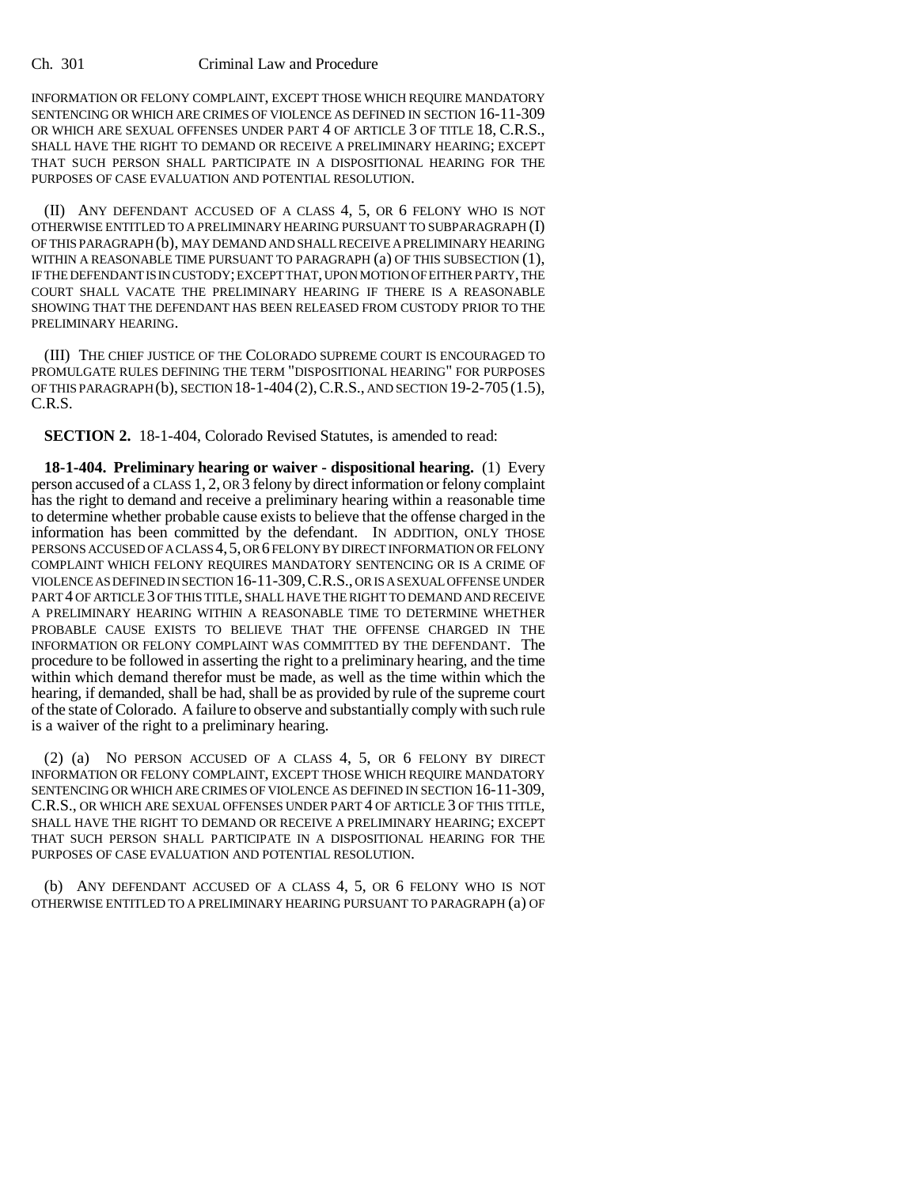## Ch. 301 Criminal Law and Procedure

INFORMATION OR FELONY COMPLAINT, EXCEPT THOSE WHICH REQUIRE MANDATORY SENTENCING OR WHICH ARE CRIMES OF VIOLENCE AS DEFINED IN SECTION 16-11-309 OR WHICH ARE SEXUAL OFFENSES UNDER PART 4 OF ARTICLE 3 OF TITLE 18, C.R.S., SHALL HAVE THE RIGHT TO DEMAND OR RECEIVE A PRELIMINARY HEARING; EXCEPT THAT SUCH PERSON SHALL PARTICIPATE IN A DISPOSITIONAL HEARING FOR THE PURPOSES OF CASE EVALUATION AND POTENTIAL RESOLUTION.

(II) ANY DEFENDANT ACCUSED OF A CLASS 4, 5, OR 6 FELONY WHO IS NOT OTHERWISE ENTITLED TO A PRELIMINARY HEARING PURSUANT TO SUBPARAGRAPH (I) OF THIS PARAGRAPH (b), MAY DEMAND AND SHALL RECEIVE A PRELIMINARY HEARING WITHIN A REASONABLE TIME PURSUANT TO PARAGRAPH (a) OF THIS SUBSECTION (1), IF THE DEFENDANT IS IN CUSTODY; EXCEPT THAT, UPON MOTION OF EITHER PARTY, THE COURT SHALL VACATE THE PRELIMINARY HEARING IF THERE IS A REASONABLE SHOWING THAT THE DEFENDANT HAS BEEN RELEASED FROM CUSTODY PRIOR TO THE PRELIMINARY HEARING.

(III) THE CHIEF JUSTICE OF THE COLORADO SUPREME COURT IS ENCOURAGED TO PROMULGATE RULES DEFINING THE TERM "DISPOSITIONAL HEARING" FOR PURPOSES OF THIS PARAGRAPH (b), SECTION 18-1-404(2),C.R.S., AND SECTION 19-2-705 (1.5), C.R.S.

**SECTION 2.** 18-1-404, Colorado Revised Statutes, is amended to read:

**18-1-404. Preliminary hearing or waiver - dispositional hearing.** (1) Every person accused of a CLASS 1, 2, OR 3 felony by direct information or felony complaint has the right to demand and receive a preliminary hearing within a reasonable time to determine whether probable cause exists to believe that the offense charged in the information has been committed by the defendant. IN ADDITION, ONLY THOSE PERSONS ACCUSED OF A CLASS 4,5, OR 6 FELONY BY DIRECT INFORMATION OR FELONY COMPLAINT WHICH FELONY REQUIRES MANDATORY SENTENCING OR IS A CRIME OF VIOLENCE AS DEFINED IN SECTION 16-11-309,C.R.S., OR IS A SEXUAL OFFENSE UNDER PART 4 OF ARTICLE 3 OF THIS TITLE, SHALL HAVE THE RIGHT TO DEMAND AND RECEIVE A PRELIMINARY HEARING WITHIN A REASONABLE TIME TO DETERMINE WHETHER PROBABLE CAUSE EXISTS TO BELIEVE THAT THE OFFENSE CHARGED IN THE INFORMATION OR FELONY COMPLAINT WAS COMMITTED BY THE DEFENDANT. The procedure to be followed in asserting the right to a preliminary hearing, and the time within which demand therefor must be made, as well as the time within which the hearing, if demanded, shall be had, shall be as provided by rule of the supreme court of the state of Colorado. A failure to observe and substantially comply with such rule is a waiver of the right to a preliminary hearing.

(2) (a) NO PERSON ACCUSED OF A CLASS 4, 5, OR 6 FELONY BY DIRECT INFORMATION OR FELONY COMPLAINT, EXCEPT THOSE WHICH REQUIRE MANDATORY SENTENCING OR WHICH ARE CRIMES OF VIOLENCE AS DEFINED IN SECTION 16-11-309, C.R.S., OR WHICH ARE SEXUAL OFFENSES UNDER PART 4 OF ARTICLE 3 OF THIS TITLE, SHALL HAVE THE RIGHT TO DEMAND OR RECEIVE A PRELIMINARY HEARING; EXCEPT THAT SUCH PERSON SHALL PARTICIPATE IN A DISPOSITIONAL HEARING FOR THE PURPOSES OF CASE EVALUATION AND POTENTIAL RESOLUTION.

(b) ANY DEFENDANT ACCUSED OF A CLASS 4, 5, OR 6 FELONY WHO IS NOT OTHERWISE ENTITLED TO A PRELIMINARY HEARING PURSUANT TO PARAGRAPH (a) OF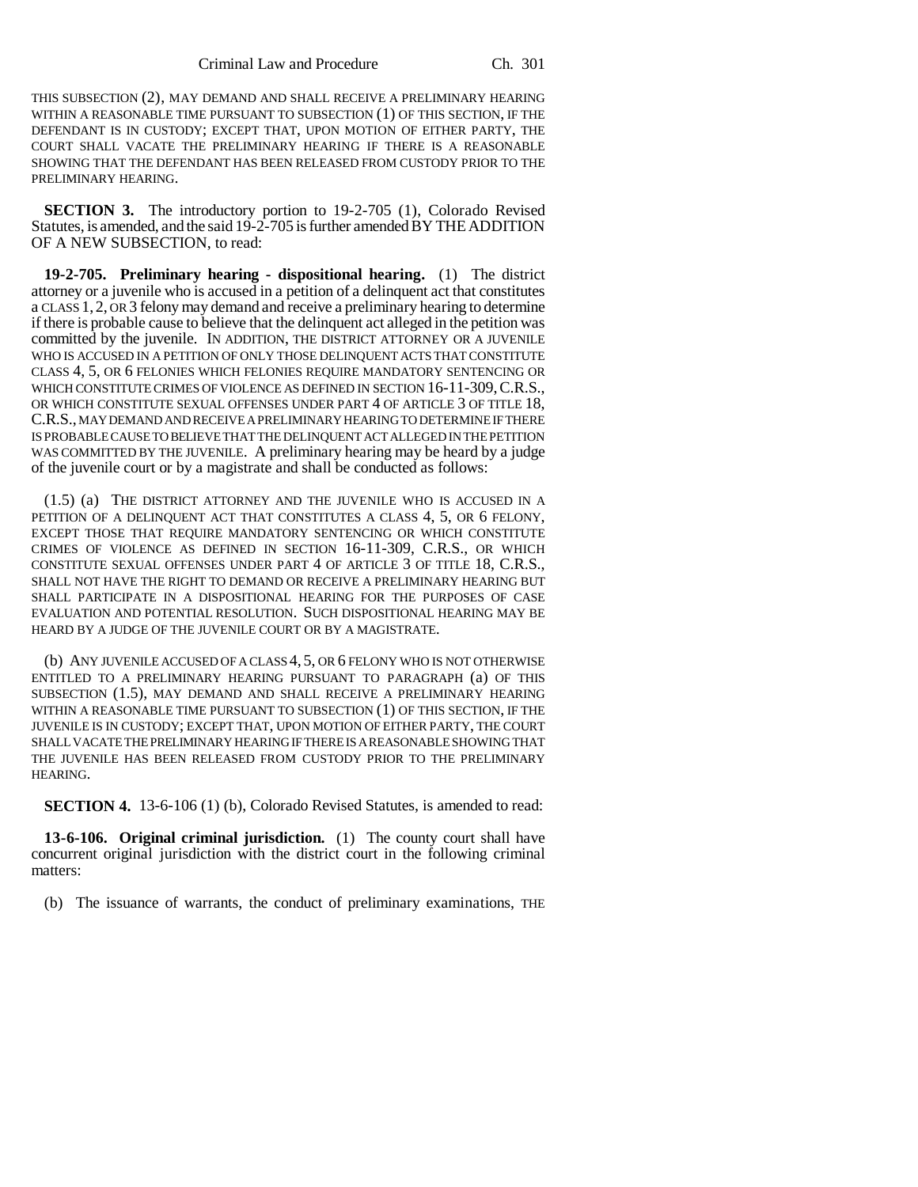THIS SUBSECTION (2), MAY DEMAND AND SHALL RECEIVE A PRELIMINARY HEARING WITHIN A REASONABLE TIME PURSUANT TO SUBSECTION (1) OF THIS SECTION, IF THE DEFENDANT IS IN CUSTODY; EXCEPT THAT, UPON MOTION OF EITHER PARTY, THE COURT SHALL VACATE THE PRELIMINARY HEARING IF THERE IS A REASONABLE SHOWING THAT THE DEFENDANT HAS BEEN RELEASED FROM CUSTODY PRIOR TO THE PRELIMINARY HEARING.

**SECTION 3.** The introductory portion to 19-2-705 (1), Colorado Revised Statutes, is amended, and the said 19-2-705 is further amended BY THE ADDITION OF A NEW SUBSECTION, to read:

**19-2-705. Preliminary hearing - dispositional hearing.** (1) The district attorney or a juvenile who is accused in a petition of a delinquent act that constitutes a CLASS 1, 2, OR 3 felony may demand and receive a preliminary hearing to determine if there is probable cause to believe that the delinquent act alleged in the petition was committed by the juvenile. IN ADDITION, THE DISTRICT ATTORNEY OR A JUVENILE WHO IS ACCUSED IN A PETITION OF ONLY THOSE DELINQUENT ACTS THAT CONSTITUTE CLASS 4, 5, OR 6 FELONIES WHICH FELONIES REQUIRE MANDATORY SENTENCING OR WHICH CONSTITUTE CRIMES OF VIOLENCE AS DEFINED IN SECTION 16-11-309, C.R.S., OR WHICH CONSTITUTE SEXUAL OFFENSES UNDER PART 4 OF ARTICLE 3 OF TITLE 18, C.R.S., MAY DEMAND AND RECEIVE A PRELIMINARY HEARING TO DETERMINE IF THERE IS PROBABLE CAUSE TO BELIEVE THAT THE DELINQUENT ACT ALLEGED IN THE PETITION WAS COMMITTED BY THE JUVENILE. A preliminary hearing may be heard by a judge of the juvenile court or by a magistrate and shall be conducted as follows:

(1.5) (a) THE DISTRICT ATTORNEY AND THE JUVENILE WHO IS ACCUSED IN A PETITION OF A DELINQUENT ACT THAT CONSTITUTES A CLASS 4, 5, OR 6 FELONY, EXCEPT THOSE THAT REQUIRE MANDATORY SENTENCING OR WHICH CONSTITUTE CRIMES OF VIOLENCE AS DEFINED IN SECTION 16-11-309, C.R.S., OR WHICH CONSTITUTE SEXUAL OFFENSES UNDER PART 4 OF ARTICLE 3 OF TITLE 18, C.R.S., SHALL NOT HAVE THE RIGHT TO DEMAND OR RECEIVE A PRELIMINARY HEARING BUT SHALL PARTICIPATE IN A DISPOSITIONAL HEARING FOR THE PURPOSES OF CASE EVALUATION AND POTENTIAL RESOLUTION. SUCH DISPOSITIONAL HEARING MAY BE HEARD BY A JUDGE OF THE JUVENILE COURT OR BY A MAGISTRATE.

(b) ANY JUVENILE ACCUSED OF A CLASS 4, 5, OR 6 FELONY WHO IS NOT OTHERWISE ENTITLED TO A PRELIMINARY HEARING PURSUANT TO PARAGRAPH (a) OF THIS SUBSECTION (1.5), MAY DEMAND AND SHALL RECEIVE A PRELIMINARY HEARING WITHIN A REASONABLE TIME PURSUANT TO SUBSECTION (1) OF THIS SECTION, IF THE JUVENILE IS IN CUSTODY; EXCEPT THAT, UPON MOTION OF EITHER PARTY, THE COURT SHALL VACATE THE PRELIMINARY HEARING IF THERE IS A REASONABLE SHOWING THAT THE JUVENILE HAS BEEN RELEASED FROM CUSTODY PRIOR TO THE PRELIMINARY HEARING.

**SECTION 4.** 13-6-106 (1) (b), Colorado Revised Statutes, is amended to read:

**13-6-106. Original criminal jurisdiction.** (1) The county court shall have concurrent original jurisdiction with the district court in the following criminal matters:

(b) The issuance of warrants, the conduct of preliminary examinations, THE